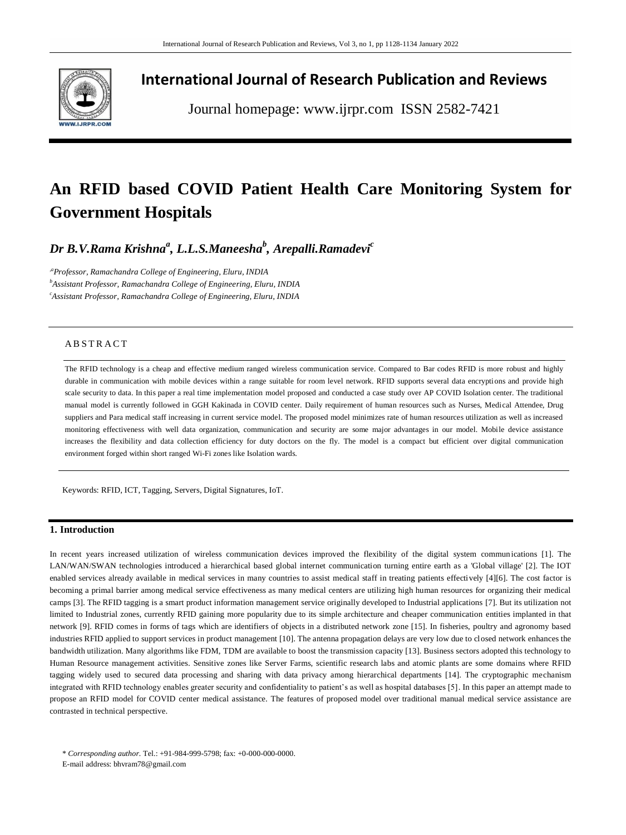

# **International Journal of Research Publication and Reviews**

Journal homepage: www.ijrpr.com ISSN 2582-7421

# **An RFID based COVID Patient Health Care Monitoring System for Government Hospitals**

*Dr B.V.Rama Krishna<sup>a</sup> , L.L.S.Maneesha<sup>b</sup> , Arepalli.Ramadevi<sup>c</sup>*

*,aProfessor, Ramachandra College of Engineering, Eluru, INDIA <sup>b</sup>Assistant Professor, Ramachandra College of Engineering, Eluru, INDIA <sup>c</sup>Assistant Professor, Ramachandra College of Engineering, Eluru, INDIA*

# A B S T R A C T

The RFID technology is a cheap and effective medium ranged wireless communication service. Compared to Bar codes RFID is more robust and highly durable in communication with mobile devices within a range suitable for room level network. RFID supports several data encryptions and provide high scale security to data. In this paper a real time implementation model proposed and conducted a case study over AP COVID Isolation center. The traditional manual model is currently followed in GGH Kakinada in COVID center. Daily requirement of human resources such as Nurses, Medical Attendee, Drug suppliers and Para medical staff increasing in current service model. The proposed model minimizes rate of human resources utilization as well as increased monitoring effectiveness with well data organization, communication and security are some major advantages in our model. Mobile device assistance increases the flexibility and data collection efficiency for duty doctors on the fly. The model is a compact but efficient over digital communication environment forged within short ranged Wi-Fi zones like Isolation wards.

Keywords: RFID, ICT, Tagging, Servers, Digital Signatures, IoT.

#### **1. Introduction**

In recent years increased utilization of wireless communication devices improved the flexibility of the digital system communications [1]. The LAN/WAN/SWAN technologies introduced a hierarchical based global internet communication turning entire earth as a 'Global village' [2]. The IOT enabled services already available in medical services in many countries to assist medical staff in treating patients effectively [4][6]. The cost factor is becoming a primal barrier among medical service effectiveness as many medical centers are utilizing high human resources for organizing their medical camps [3]. The RFID tagging is a smart product information management service originally developed to Industrial applications [7]. But its utilization not limited to Industrial zones, currently RFID gaining more popularity due to its simple architecture and cheaper communication entities implanted in that network [9]. RFID comes in forms of tags which are identifiers of objects in a distributed network zone [15]. In fisheries, poultry and agronomy based industries RFID applied to support services in product management [10]. The antenna propagation delays are very low due to closed network enhances the bandwidth utilization. Many algorithms like FDM, TDM are available to boost the transmission capacity [13]. Business sectors adopted this technology to Human Resource management activities. Sensitive zones like Server Farms, scientific research labs and atomic plants are some domains where RFID tagging widely used to secured data processing and sharing with data privacy among hierarchical departments [14]. The cryptographic mechanism integrated with RFID technology enables greater security and confidentiality to patient's as well as hospital databases [5]. In this paper an attempt made to propose an RFID model for COVID center medical assistance. The features of proposed model over traditional manual medical service assistance are contrasted in technical perspective.

E-mail address: bhvram78@gmail.com

<sup>\*</sup> *Corresponding author.* Tel.: +91-984-999-5798; fax: +0-000-000-0000.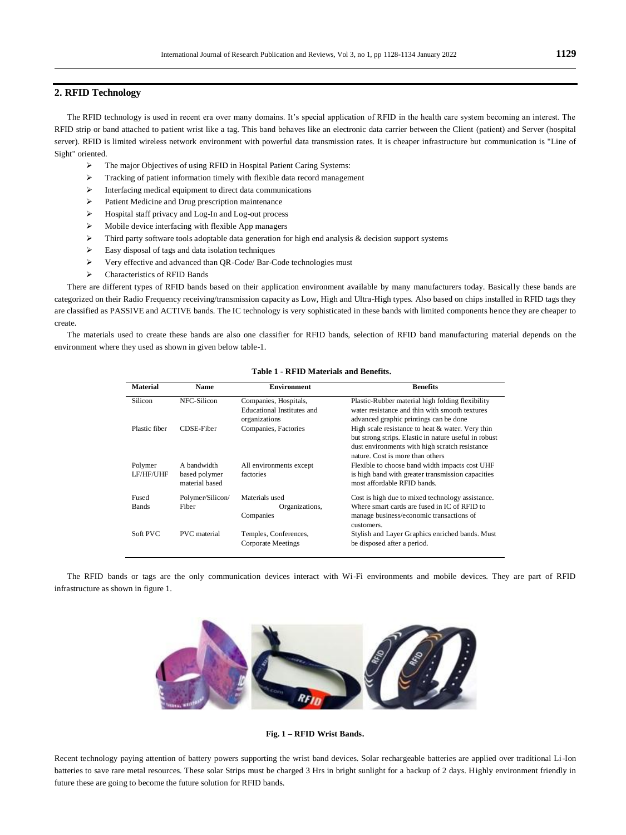# **2. RFID Technology**

The RFID technology is used in recent era over many domains. It's special application of RFID in the health care system becoming an interest. The RFID strip or band attached to patient wrist like a tag. This band behaves like an electronic data carrier between the Client (patient) and Server (hospital server). RFID is limited wireless network environment with powerful data transmission rates. It is cheaper infrastructure but communication is "Line of Sight" oriented.

- The major Objectives of using RFID in Hospital Patient Caring Systems:
- $\triangleright$  Tracking of patient information timely with flexible data record management
- $\triangleright$  Interfacing medical equipment to direct data communications
- Patient Medicine and Drug prescription maintenance
- $\triangleright$  Hospital staff privacy and Log-In and Log-out process
- $\triangleright$  Mobile device interfacing with flexible App managers
- Third party software tools adoptable data generation for high end analysis & decision support systems
- $\triangleright$  Easy disposal of tags and data isolation techniques
- Very effective and advanced than QR-Code/ Bar-Code technologies must
- Characteristics of RFID Bands

There are different types of RFID bands based on their application environment available by many manufacturers today. Basically these bands are categorized on their Radio Frequency receiving/transmission capacity as Low, High and Ultra-High types. Also based on chips installed in RFID tags they are classified as PASSIVE and ACTIVE bands. The IC technology is very sophisticated in these bands with limited components hence they are cheaper to create.

The materials used to create these bands are also one classifier for RFID bands, selection of RFID band manufacturing material depends on the environment where they used as shown in given below table-1.

| <b>Material</b>       | <b>Name</b>                                    | <b>Environment</b>                                                   | <b>Benefits</b>                                                                                                                                                                                 |
|-----------------------|------------------------------------------------|----------------------------------------------------------------------|-------------------------------------------------------------------------------------------------------------------------------------------------------------------------------------------------|
| Silicon               | NFC-Silicon                                    | Companies, Hospitals,<br>Educational Institutes and<br>organizations | Plastic-Rubber material high folding flexibility<br>water resistance and thin with smooth textures<br>advanced graphic printings can be done                                                    |
| Plastic fiber         | CDSE-Fiber                                     | Companies, Factories                                                 | High scale resistance to heat & water. Very thin<br>but strong strips. Elastic in nature useful in robust<br>dust environments with high scratch resistance<br>nature. Cost is more than others |
| Polymer<br>LF/HF/UHF  | A bandwidth<br>based polymer<br>material based | All environments except<br>factories                                 | Flexible to choose band width impacts cost UHF<br>is high band with greater transmission capacities<br>most affordable RFID bands.                                                              |
| Fused<br><b>Bands</b> | Polymer/Silicon/<br>Fiber                      | Materials used<br>Organizations,<br>Companies                        | Cost is high due to mixed technology assistance.<br>Where smart cards are fused in IC of RFID to<br>manage business/economic transactions of<br>customers.                                      |
| Soft PVC              | <b>PVC</b> material                            | Temples, Conferences,<br>Corporate Meetings                          | Stylish and Layer Graphics enriched bands. Must<br>be disposed after a period.                                                                                                                  |

## **Table 1 - RFID Materials and Benefits.**

The RFID bands or tags are the only communication devices interact with Wi-Fi environments and mobile devices. They are part of RFID infrastructure as shown in figure 1.



**Fig. 1 – RFID Wrist Bands.**

Recent technology paying attention of battery powers supporting the wrist band devices. Solar rechargeable batteries are applied over traditional Li-Ion batteries to save rare metal resources. These solar Strips must be charged 3 Hrs in bright sunlight for a backup of 2 days. Highly environment friendly in future these are going to become the future solution for RFID bands.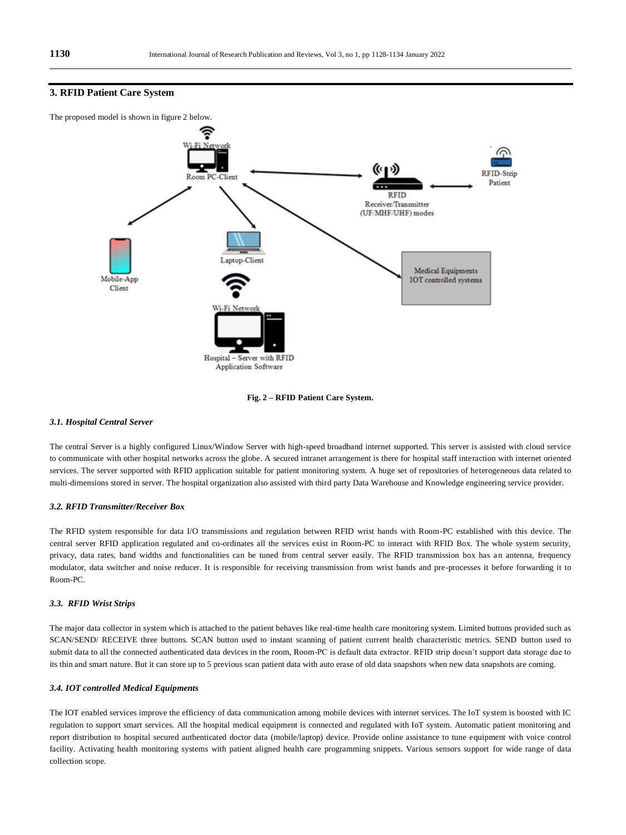

#### **3. RFID Patient Care System**



#### *3.1. Hospital Central Server*

The central Server is a highly configured Linux/Window Server with high-speed broadband internet supported. This server is assisted with cloud service to communicate with other hospital networks across the globe. A secured intranet arrangement is there for hospital staff interaction with internet oriented services. The server supported with RFID application suitable for patient monitoring system. A huge set of repositories of heterogeneous data related to multi-dimensions stored in server. The hospital organization also assisted with third party Data Warehouse and Knowledge engineering service provider.

#### *3.2. RFID Transmitter/Receiver Box*

The RFID system responsible for data I/O transmissions and regulation between RFID wrist bands with Room-PC established with this device. The central server RFID application regulated and co-ordinates all the services exist in Room-PC to interact with RFID Box. The whole system security, privacy, data rates, band widths and functionalities can be tuned from central server easily. The RFID transmission box has an antenna, frequency modulator, data switcher and noise reducer. It is responsible for receiving transmission from wrist bands and pre-processes it before forwarding it to Room-PC.

#### *3.3. RFID Wrist Strips*

The major data collector in system which is attached to the patient behaves like real-time health care monitoring system. Limited buttons provided such as SCAN/SEND/ RECEIVE three buttons. SCAN button used to instant scanning of patient current health characteristic metrics. SEND button used to submit data to all the connected authenticated data devices in the room, Room-PC is default data extractor. RFID strip doesn't support data storage due to its thin and smart nature. But it can store up to 5 previous scan patient data with auto erase of old data snapshots when new data snapshots are coming.

## *3.4. IOT controlled Medical Equipments*

The IOT enabled services improve the efficiency of data communication among mobile devices with internet services. The IoT system is boosted with IC regulation to support smart services. All the hospital medical equipment is connected and regulated with IoT system. Automatic patient monitoring and report distribution to hospital secured authenticated doctor data (mobile/laptop) device. Provide online assistance to tune equipment with voice control facility. Activating health monitoring systems with patient aligned health care programming snippets. Various sensors support for wide range of data collection scope.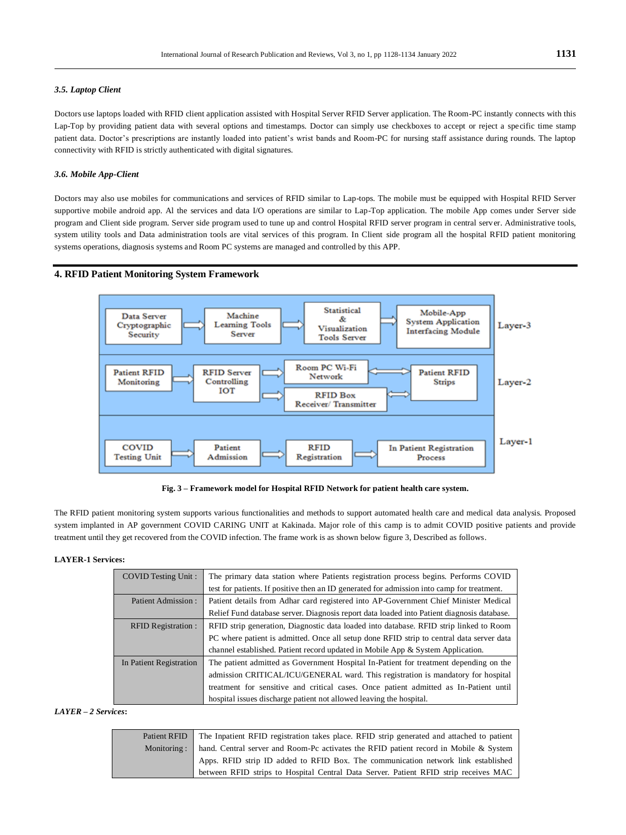#### *3.5. Laptop Client*

Doctors use laptops loaded with RFID client application assisted with Hospital Server RFID Server application. The Room-PC instantly connects with this Lap-Top by providing patient data with several options and timestamps. Doctor can simply use checkboxes to accept or reject a specific time stamp patient data. Doctor's prescriptions are instantly loaded into patient's wrist bands and Room-PC for nursing staff assistance during rounds. The laptop connectivity with RFID is strictly authenticated with digital signatures.

#### *3.6. Mobile App-Client*

Doctors may also use mobiles for communications and services of RFID similar to Lap-tops. The mobile must be equipped with Hospital RFID Server supportive mobile android app. Al the services and data I/O operations are similar to Lap-Top application. The mobile App comes under Server side program and Client side program. Server side program used to tune up and control Hospital RFID server program in central server. Administrative tools, system utility tools and Data administration tools are vital services of this program. In Client side program all the hospital RFID patient monitoring systems operations, diagnosis systems and Room PC systems are managed and controlled by this APP.

#### **4. RFID Patient Monitoring System Framework**



**Fig. 3 – Framework model for Hospital RFID Network for patient health care system.**

The RFID patient monitoring system supports various functionalities and methods to support automated health care and medical data analysis. Proposed system implanted in AP government COVID CARING UNIT at Kakinada. Major role of this camp is to admit COVID positive patients and provide treatment until they get recovered from the COVID infection. The frame work is as shown below figure 3, Described as follows.

#### **LAYER-1 Services:**

| <b>COVID Testing Unit:</b> | The primary data station where Patients registration process begins. Performs COVID        |  |  |
|----------------------------|--------------------------------------------------------------------------------------------|--|--|
|                            | test for patients. If positive then an ID generated for admission into camp for treatment. |  |  |
| Patient Admission:         | Patient details from Adhar card registered into AP-Government Chief Minister Medical       |  |  |
|                            | Relief Fund database server. Diagnosis report data loaded into Patient diagnosis database. |  |  |
| <b>RFID Registration:</b>  | RFID strip generation, Diagnostic data loaded into database. RFID strip linked to Room     |  |  |
|                            | PC where patient is admitted. Once all setup done RFID strip to central data server data   |  |  |
|                            | channel established. Patient record updated in Mobile App & System Application.            |  |  |
| In Patient Registration    | The patient admitted as Government Hospital In-Patient for treatment depending on the      |  |  |
|                            | admission CRITICAL/ICU/GENERAL ward. This registration is mandatory for hospital           |  |  |
|                            | treatment for sensitive and critical cases. Once patient admitted as In-Patient until      |  |  |
|                            | hospital issues discharge patient not allowed leaving the hospital.                        |  |  |

#### *LAYER – 2 Services***:**

| Patient RFID | The Inpatient RFID registration takes place. RFID strip generated and attached to patient |
|--------------|-------------------------------------------------------------------------------------------|
| Monitoring:  | hand. Central server and Room-Pc activates the RFID patient record in Mobile & System     |
|              | Apps. RFID strip ID added to RFID Box. The communication network link established         |
|              | between RFID strips to Hospital Central Data Server. Patient RFID strip receives MAC      |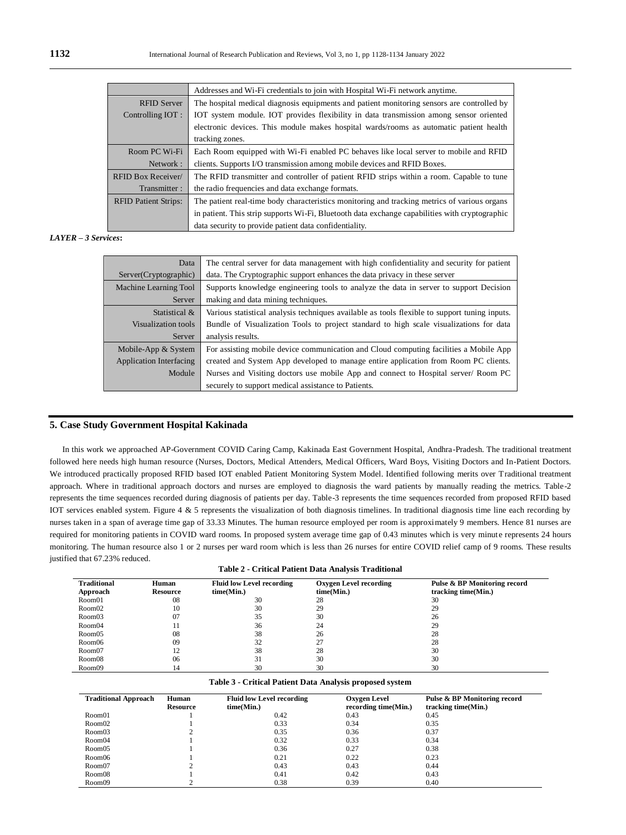|                             | Addresses and Wi-Fi credentials to join with Hospital Wi-Fi network anytime.                   |  |  |
|-----------------------------|------------------------------------------------------------------------------------------------|--|--|
| <b>RFID Server</b>          | The hospital medical diagnosis equipments and patient monitoring sensors are controlled by     |  |  |
| Controlling IOT:            | IOT system module. IOT provides flexibility in data transmission among sensor oriented         |  |  |
|                             | electronic devices. This module makes hospital wards/rooms as automatic patient health         |  |  |
|                             | tracking zones.                                                                                |  |  |
| Room PC Wi-Fi               | Each Room equipped with Wi-Fi enabled PC behaves like local server to mobile and RFID          |  |  |
| Network:                    | clients. Supports I/O transmission among mobile devices and RFID Boxes.                        |  |  |
| RFID Box Receiver/          | The RFID transmitter and controller of patient RFID strips within a room. Capable to tune      |  |  |
| Transmitter:                | the radio frequencies and data exchange formats.                                               |  |  |
| <b>RFID Patient Strips:</b> | The patient real-time body characteristics monitoring and tracking metrics of various organs   |  |  |
|                             | in patient. This strip supports Wi-Fi, Bluetooth data exchange capabilities with cryptographic |  |  |
|                             | data security to provide patient data confidentiality.                                         |  |  |

#### *LAYER – 3 Services***:**

| Data                                                | The central server for data management with high confidentiality and security for patient     |  |
|-----------------------------------------------------|-----------------------------------------------------------------------------------------------|--|
| Server(Cryptographic)                               | data. The Cryptographic support enhances the data privacy in these server                     |  |
| Machine Learning Tool                               | Supports knowledge engineering tools to analyze the data in server to support Decision        |  |
| Server                                              | making and data mining techniques.                                                            |  |
| Statistical &                                       | Various statistical analysis techniques available as tools flexible to support tuning inputs. |  |
| Visualization tools                                 | Bundle of Visualization Tools to project standard to high scale visualizations for data       |  |
| Server                                              | analysis results.                                                                             |  |
| Mobile-App $&$ System                               | For assisting mobile device communication and Cloud computing facilities a Mobile App         |  |
| <b>Application Interfacing</b>                      | created and System App developed to manage entire application from Room PC clients.           |  |
| Module                                              | Nurses and Visiting doctors use mobile App and connect to Hospital server/Room PC             |  |
| securely to support medical assistance to Patients. |                                                                                               |  |

#### **5. Case Study Government Hospital Kakinada**

In this work we approached AP-Government COVID Caring Camp, Kakinada East Government Hospital, Andhra-Pradesh. The traditional treatment followed here needs high human resource (Nurses, Doctors, Medical Attenders, Medical Officers, Ward Boys, Visiting Doctors and In-Patient Doctors. We introduced practically proposed RFID based IOT enabled Patient Monitoring System Model. Identified following merits over Traditional treatment approach. Where in traditional approach doctors and nurses are employed to diagnosis the ward patients by manually reading the metrics. Table-2 represents the time sequences recorded during diagnosis of patients per day. Table-3 represents the time sequences recorded from proposed RFID based IOT services enabled system. Figure 4 & 5 represents the visualization of both diagnosis timelines. In traditional diagnosis time line each recording by nurses taken in a span of average time gap of 33.33 Minutes. The human resource employed per room is approximately 9 members. Hence 81 nurses are required for monitoring patients in COVID ward rooms. In proposed system average time gap of 0.43 minutes which is very minut e represents 24 hours monitoring. The human resource also 1 or 2 nurses per ward room which is less than 26 nurses for entire COVID relief camp of 9 rooms. These results justified that 67.23% reduced. **Table 2 - Critical Patient Data Analysis Traditional**

| Table 2 - Critical Patient Data Analysis Traditional |                 |                                  |                               |                              |
|------------------------------------------------------|-----------------|----------------------------------|-------------------------------|------------------------------|
| <b>Traditional</b>                                   | Human           | <b>Fluid low Level recording</b> | <b>Oxygen Level recording</b> | Pulse & BP Monitoring record |
| Approach                                             | <b>Resource</b> | time(Min.)                       | time(Min.)                    | tracking time(Min.)          |
| Room01                                               | 08              | 30                               | 28                            | 30                           |
| Room02                                               | 10              | 30                               | 29                            | 29                           |
| Room03                                               | 07              | 35                               | 30                            | 26                           |
| Room04                                               | 11              | 36                               | 24                            | 29                           |
| Room05                                               | 08              | 38                               | 26                            | 28                           |
| Room06                                               | 09              | 32                               | 27                            | 28                           |
| Room07                                               | 12              | 38                               | 28                            | 30                           |
| Room08                                               | 06              | 31                               | 30                            | 30                           |
| Room09                                               | 14              | 30                               | 30                            | 30                           |

#### **Table 3 - Critical Patient Data Analysis proposed system**

| <b>Traditional Approach</b> | Human<br><b>Resource</b> | <b>Fluid low Level recording</b><br>time(Min.) | <b>Oxygen Level</b><br>recording time(Min.) | Pulse & BP Monitoring record<br>tracking time(Min.) |
|-----------------------------|--------------------------|------------------------------------------------|---------------------------------------------|-----------------------------------------------------|
| Room01                      |                          | 0.42                                           | 0.43                                        | 0.45                                                |
| Room02                      |                          | 0.33                                           | 0.34                                        | 0.35                                                |
| Room03                      |                          | 0.35                                           | 0.36                                        | 0.37                                                |
| Room04                      |                          | 0.32                                           | 0.33                                        | 0.34                                                |
| Room05                      |                          | 0.36                                           | 0.27                                        | 0.38                                                |
| Room06                      |                          | 0.21                                           | 0.22                                        | 0.23                                                |
| Room07                      |                          | 0.43                                           | 0.43                                        | 0.44                                                |
| Room08                      |                          | 0.41                                           | 0.42                                        | 0.43                                                |
| Room09                      |                          | 0.38                                           | 0.39                                        | 0.40                                                |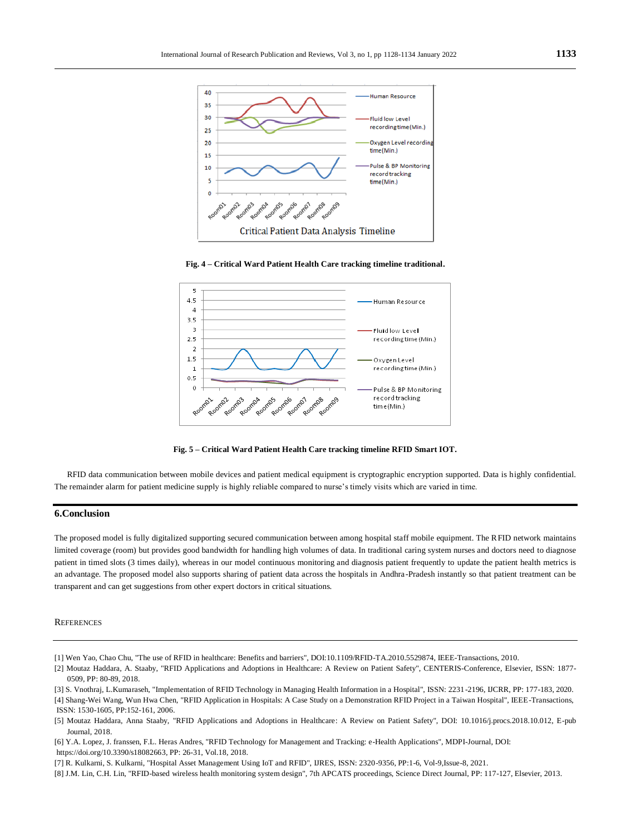

**Fig. 4 – Critical Ward Patient Health Care tracking timeline traditional.**



**Fig. 5 – Critical Ward Patient Health Care tracking timeline RFID Smart IOT.**

RFID data communication between mobile devices and patient medical equipment is cryptographic encryption supported. Data is highly confidential. The remainder alarm for patient medicine supply is highly reliable compared to nurse's timely visits which are varied in time.

#### **6.Conclusion**

The proposed model is fully digitalized supporting secured communication between among hospital staff mobile equipment. The RFID network maintains limited coverage (room) but provides good bandwidth for handling high volumes of data. In traditional caring system nurses and doctors need to diagnose patient in timed slots (3 times daily), whereas in our model continuous monitoring and diagnosis patient frequently to update the patient health metrics is an advantage. The proposed model also supports sharing of patient data across the hospitals in Andhra -Pradesh instantly so that patient treatment can be transparent and can get suggestions from other expert doctors in critical situations.

#### **REFERENCES**

[1] Wen Yao, Chao Chu, "The use of RFID in healthcare: Benefits and barriers", DOI:10.1109/RFID-TA.2010.5529874, IEEE-Transactions, 2010.

<sup>[2]</sup> Moutaz Haddara, A. Staaby, "RFID Applications and Adoptions in Healthcare: A Review on Patient Safety", CENTERIS-Conference, Elsevier, ISSN: 1877- 0509, PP: 80-89, 2018.

<sup>[3]</sup> S. Vnothraj, L.Kumaraseh, "Implementation of RFID Technology in Managing Health Information in a Hospital", ISSN: 2231-2196, IJCRR, PP: 177-183, 2020. [4] Shang-Wei Wang, Wun Hwa Chen, "RFID Application in Hospitals: A Case Study on a Demonstration RFID Project in a Taiwan Hospital", IEEE-Transactions, ISSN: 1530-1605, PP:152-161, 2006.

<sup>[5]</sup> Moutaz Haddara, Anna Staaby, "RFID Applications and Adoptions in Healthcare: A Review on Patient Safety", DOI: 10.1016/j.procs.2018.10.012, E-pub Journal, 2018.

<sup>[6]</sup> Y.A. Lopez, J. franssen, F.L. Heras Andres, "RFID Technology for Management and Tracking: e-Health Applications", MDPI-Journal, DOI: https://doi.org/10.3390/s18082663, PP: 26-31, Vol.18, 2018.

<sup>[7]</sup> R. Kulkarni, S. Kulkarni, "Hospital Asset Management Using IoT and RFID", IJRES, ISSN: 2320-9356, PP:1-6, Vol-9,Issue-8, 2021.

<sup>[8]</sup> J.M. Lin, C.H. Lin, "RFID-based wireless health monitoring system design", 7th APCATS proceedings, Science Direct Journal, PP: 117-127, Elsevier, 2013.